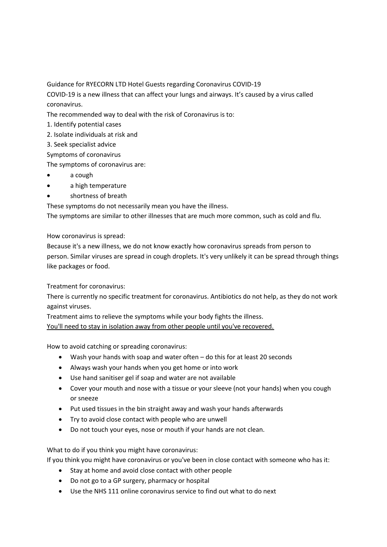Guidance for RYECORN LTD Hotel Guests regarding Coronavirus COVID-19

COVID-19 is a new illness that can affect your lungs and airways. It's caused by a virus called coronavirus.

The recommended way to deal with the risk of Coronavirus is to:

- 1. Identify potential cases
- 2. Isolate individuals at risk and
- 3. Seek specialist advice

Symptoms of coronavirus

The symptoms of coronavirus are:

- a cough
- a high temperature
- shortness of breath

These symptoms do not necessarily mean you have the illness. The symptoms are similar to other illnesses that are much more common, such as cold and flu.

## How coronavirus is spread:

Because it's a new illness, we do not know exactly how coronavirus spreads from person to person. Similar viruses are spread in cough droplets. It's very unlikely it can be spread through things like packages or food.

Treatment for coronavirus:

There is currently no specific treatment for coronavirus. Antibiotics do not help, as they do not work against viruses.

Treatment aims to relieve the symptoms while your body fights the illness.

You'll need to stay in isolation away from other people until you've recovered.

How to avoid catching or spreading coronavirus:

- Wash your hands with soap and water often do this for at least 20 seconds
- Always wash your hands when you get home or into work
- Use hand sanitiser gel if soap and water are not available
- Cover your mouth and nose with a tissue or your sleeve (not your hands) when you cough or sneeze
- Put used tissues in the bin straight away and wash your hands afterwards
- Try to avoid close contact with people who are unwell
- Do not touch your eyes, nose or mouth if your hands are not clean.

What to do if you think you might have coronavirus:

If you think you might have coronavirus or you've been in close contact with someone who has it:

- Stay at home and avoid close contact with other people
- Do not go to a GP surgery, pharmacy or hospital
- Use the NHS 111 online coronavirus service to find out what to do next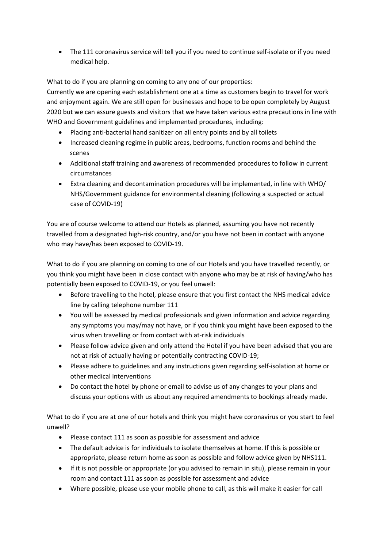The 111 coronavirus service will tell you if you need to continue self-isolate or if you need medical help.

What to do if you are planning on coming to any one of our properties:

Currently we are opening each establishment one at a time as customers begin to travel for work and enjoyment again. We are still open for businesses and hope to be open completely by August 2020 but we can assure guests and visitors that we have taken various extra precautions in line with WHO and Government guidelines and implemented procedures, including:

- Placing anti-bacterial hand sanitizer on all entry points and by all toilets
- Increased cleaning regime in public areas, bedrooms, function rooms and behind the scenes
- Additional staff training and awareness of recommended procedures to follow in current circumstances
- Extra cleaning and decontamination procedures will be implemented, in line with WHO/ NHS/Government guidance for environmental cleaning (following a suspected or actual case of COVID-19)

You are of course welcome to attend our Hotels as planned, assuming you have not recently travelled from a designated high-risk country, and/or you have not been in contact with anyone who may have/has been exposed to COVID-19.

What to do if you are planning on coming to one of our Hotels and you have travelled recently, or you think you might have been in close contact with anyone who may be at risk of having/who has potentially been exposed to COVID-19, or you feel unwell:

- Before travelling to the hotel, please ensure that you first contact the NHS medical advice line by calling telephone number 111
- You will be assessed by medical professionals and given information and advice regarding any symptoms you may/may not have, or if you think you might have been exposed to the virus when travelling or from contact with at-risk individuals
- Please follow advice given and only attend the Hotel if you have been advised that you are not at risk of actually having or potentially contracting COVID-19;
- Please adhere to guidelines and any instructions given regarding self-isolation at home or other medical interventions
- Do contact the hotel by phone or email to advise us of any changes to your plans and discuss your options with us about any required amendments to bookings already made.

What to do if you are at one of our hotels and think you might have coronavirus or you start to feel unwell?

- Please contact 111 as soon as possible for assessment and advice
- The default advice is for individuals to isolate themselves at home. If this is possible or appropriate, please return home as soon as possible and follow advice given by NHS111.
- If it is not possible or appropriate (or you advised to remain in situ), please remain in your room and contact 111 as soon as possible for assessment and advice
- Where possible, please use your mobile phone to call, as this will make it easier for call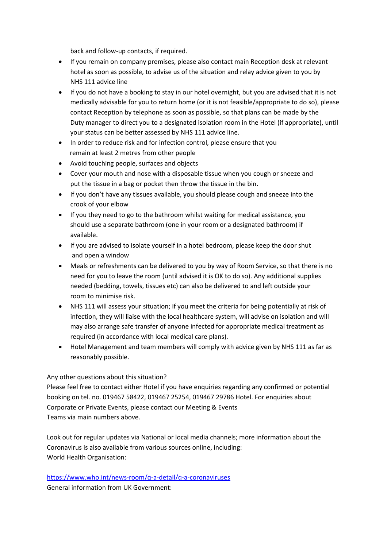back and follow-up contacts, if required.

- If you remain on company premises, please also contact main Reception desk at relevant hotel as soon as possible, to advise us of the situation and relay advice given to you by NHS 111 advice line
- If you do not have a booking to stay in our hotel overnight, but you are advised that it is not medically advisable for you to return home (or it is not feasible/appropriate to do so), please contact Reception by telephone as soon as possible, so that plans can be made by the Duty manager to direct you to a designated isolation room in the Hotel (if appropriate), until your status can be better assessed by NHS 111 advice line.
- In order to reduce risk and for infection control, please ensure that you remain at least 2 metres from other people
- Avoid touching people, surfaces and objects
- Cover your mouth and nose with a disposable tissue when you cough or sneeze and put the tissue in a bag or pocket then throw the tissue in the bin.
- If you don't have any tissues available, you should please cough and sneeze into the crook of your elbow
- If you they need to go to the bathroom whilst waiting for medical assistance, you should use a separate bathroom (one in your room or a designated bathroom) if available.
- If you are advised to isolate yourself in a hotel bedroom, please keep the door shut and open a window
- Meals or refreshments can be delivered to you by way of Room Service, so that there is no need for you to leave the room (until advised it is OK to do so). Any additional supplies needed (bedding, towels, tissues etc) can also be delivered to and left outside your room to minimise risk.
- NHS 111 will assess your situation; if you meet the criteria for being potentially at risk of infection, they will liaise with the local healthcare system, will advise on isolation and will may also arrange safe transfer of anyone infected for appropriate medical treatment as required (in accordance with local medical care plans).
- Hotel Management and team members will comply with advice given by NHS 111 as far as reasonably possible.

## Any other questions about this situation?

Please feel free to contact either Hotel if you have enquiries regarding any confirmed or potential booking on tel. no. 019467 58422, 019467 25254, 019467 29786 Hotel. For enquiries about Corporate or Private Events, please contact our Meeting & Events Teams via main numbers above.

Look out for regular updates via National or local media channels; more information about the Coronavirus is also available from various sources online, including: World Health Organisation:

<https://www.who.int/news-room/q-a-detail/q-a-coronaviruses> General information from UK Government: